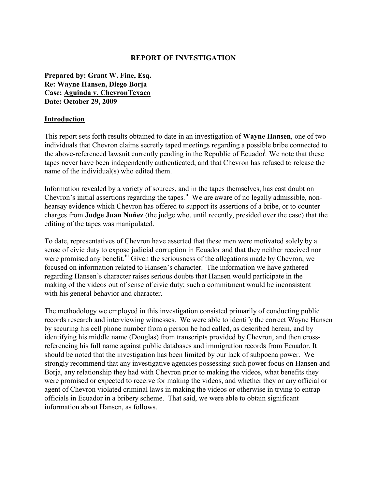### **REPORT OF INVESTIGATION**

**Prepared by: Grant W. Fine, Esq. Re: Wayne Hansen, Diego Borja Case: Aguinda v. ChevronTexaco Date: October 29, 2009**

#### **Introduction**

This report sets forth results obtained to date in an investigation of **Wayne Hansen**, one of two individuals that Chevron claims secretly taped meetings regarding a possible bribe connected to the above-referenced lawsuit currently pending in the Republic of Ecuador. We note that these tapes never have been independently authenticated, and that Chevron has refused to release the name of the individual(s) who edited them.

Information revealed by a variety of sources, and in the tapes themselves, has cast doubt on Chevron's initial assertions regarding the tapes.<sup>ii</sup> We are aware of no legally admissible, nonhearsay evidence which Chevron has offered to support its assertions of a bribe, or to counter charges from **Judge Juan Nuñez** (the judge who, until recently, presided over the case) that the editing of the tapes was manipulated.

To date, representatives of Chevron have asserted that these men were motivated solely by a sense of civic duty to expose judicial corruption in Ecuador and that they neither received nor were promised any benefit.<sup>iii</sup> Given the seriousness of the allegations made by Chevron, we focused on information related to Hansen's character. The information we have gathered regarding Hansen's character raises serious doubts that Hansen would participate in the making of the videos out of sense of civic duty; such a commitment would be inconsistent with his general behavior and character.

The methodology we employed in this investigation consisted primarily of conducting public records research and interviewing witnesses. We were able to identify the correct Wayne Hansen by securing his cell phone number from a person he had called, as described herein, and by identifying his middle name (Douglas) from transcripts provided by Chevron, and then crossreferencing his full name against public databases and immigration records from Ecuador. It should be noted that the investigation has been limited by our lack of subpoena power. We strongly recommend that any investigative agencies possessing such power focus on Hansen and Borja, any relationship they had with Chevron prior to making the videos, what benefits they were promised or expected to receive for making the videos, and whether they or any official or agent of Chevron violated criminal laws in making the videos or otherwise in trying to entrap officials in Ecuador in a bribery scheme. That said, we were able to obtain significant information about Hansen, as follows.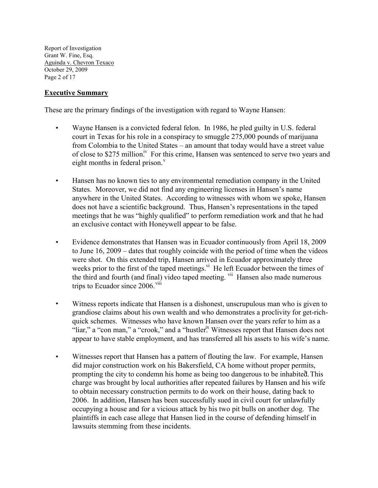Report of Investigation Grant W. Fine, Esq. Aguinda v. Chevron Texaco October 29, 2009 Page 2 of 17

## **Executive Summary**

These are the primary findings of the investigation with regard to Wayne Hansen:

- Wayne Hansen is a convicted federal felon. In 1986, he pled guilty in U.S. federal court in Texas for his role in a conspiracy to smuggle 275,000 pounds of marijuana from Colombia to the United States – an amount that today would have a street value of close to \$275 million.<sup>iv</sup> For this crime, Hansen was sentenced to serve two years and eight months in federal prison. $v$
- Hansen has no known ties to any environmental remediation company in the United States. Moreover, we did not find any engineering licenses in Hansen's name anywhere in the United States. According to witnesses with whom we spoke, Hansen does not have a scientific background. Thus, Hansen's representations in the taped meetings that he was "highly qualified" to perform remediation work and that he had an exclusive contact with Honeywell appear to be false.
- Evidence demonstrates that Hansen was in Ecuador continuously from April 18, 2009 to June 16, 2009 – dates that roughly coincide with the period of time when the videos were shot. On this extended trip, Hansen arrived in Ecuador approximately three weeks prior to the first of the taped meetings.<sup>vi</sup> He left Ecuador between the times of the third and fourth (and final) video taped meeting. vii Hansen also made numerous trips to Ecuador since 2006.<sup>viii</sup>
- Witness reports indicate that Hansen is a dishonest, unscrupulous man who is given to grandiose claims about his own wealth and who demonstrates a proclivity for get-richquick schemes. Witnesses who have known Hansen over the years refer to him as a "liar," a "con man," a "crook," and a "hustler<sup>ix</sup> Witnesses report that Hansen does not appear to have stable employment, and has transferred all his assets to his wife's name.
- Witnesses report that Hansen has a pattern of flouting the law. For example, Hansen did major construction work on his Bakersfield, CA home without proper permits, prompting the city to condemn his home as being too dangerous to be inhabited. This charge was brought by local authorities after repeated failures by Hansen and his wife to obtain necessary construction permits to do work on their house, dating back to 2006. In addition, Hansen has been successfully sued in civil court for unlawfully occupying a house and for a vicious attack by his two pit bulls on another dog. The plaintiffs in each case allege that Hansen lied in the course of defending himself in lawsuits stemming from these incidents.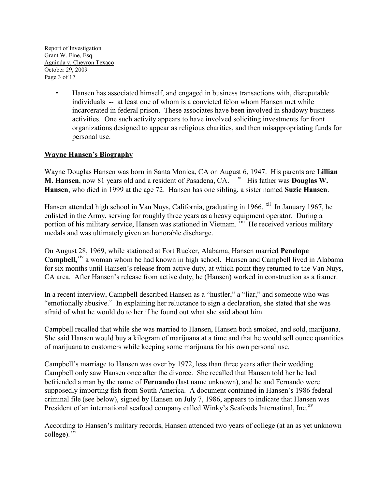Report of Investigation Grant W. Fine, Esq. Aguinda v. Chevron Texaco October 29, 2009 Page 3 of 17

> • Hansen has associated himself, and engaged in business transactions with, disreputable individuals -- at least one of whom is a convicted felon whom Hansen met while incarcerated in federal prison. These associates have been involved in shadowy business activities. One such activity appears to have involved soliciting investments for front organizations designed to appear as religious charities, and then misappropriating funds for personal use.

# **Wayne Hansen's Biography**

Wayne Douglas Hansen was born in Santa Monica, CA on August 6, 1947. His parents are **Lillian M. Hansen**, now 81 years old and a resident of Pasadena, CA. <sup>xi</sup> His father was **Douglas W. Hansen**, who died in 1999 at the age 72. Hansen has one sibling, a sister named **Suzie Hansen**.

Hansen attended high school in Van Nuys, California, graduating in 1966. <sup>xii</sup> In January 1967, he enlisted in the Army, serving for roughly three years as a heavy equipment operator. During a portion of his military service, Hansen was stationed in Vietnam. XIII He received various military medals and was ultimately given an honorable discharge.

On August 28, 1969, while stationed at Fort Rucker, Alabama, Hansen married **Penelope Campbell**,<sup>xiv</sup> a woman whom he had known in high school. Hansen and Campbell lived in Alabama for six months until Hansen's release from active duty, at which point they returned to the Van Nuys, CA area. After Hansen's release from active duty, he (Hansen) worked in construction as a framer.

In a recent interview, Campbell described Hansen as a "hustler," a "liar," and someone who was "emotionally abusive." In explaining her reluctance to sign a declaration, she stated that she was afraid of what he would do to her if he found out what she said about him.

Campbell recalled that while she was married to Hansen, Hansen both smoked, and sold, marijuana. She said Hansen would buy a kilogram of marijuana at a time and that he would sell ounce quantities of marijuana to customers while keeping some marijuana for his own personal use.

Campbell's marriage to Hansen was over by 1972, less than three years after their wedding. Campbell only saw Hansen once after the divorce. She recalled that Hansen told her he had befriended a man by the name of **Fernando** (last name unknown), and he and Fernando were supposedly importing fish from South America. A document contained in Hansen's 1986 federal criminal file (see below), signed by Hansen on July 7, 1986, appears to indicate that Hansen was President of an international seafood company called Winky's Seafoods Internatinal, Inc.<sup>xv</sup>

According to Hansen's military records, Hansen attended two years of college (at an as yet unknown  $\text{college})$ <sup>xvi</sup>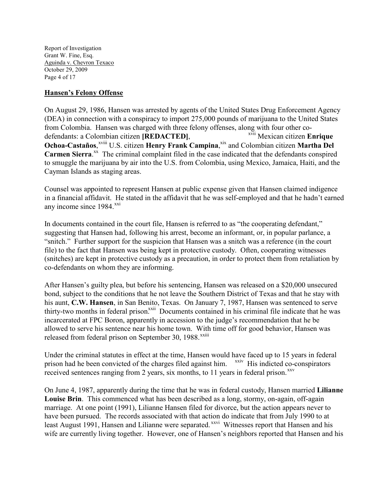Report of Investigation Grant W. Fine, Esq. Aguinda v. Chevron Texaco October 29, 2009 Page 4 of 17

## **Hansen's Felony Offense**

On August 29, 1986, Hansen was arrested by agents of the United States Drug Enforcement Agency (DEA) in connection with a conspiracy to import 275,000 pounds of marijuana to the United States from Colombia. Hansen was charged with three felony offenses, along with four other codefendants: a Colombian citizen **[REDACTED]**, Ochoa-Castaños,<sup>xviii</sup> U.S. citizen Henry Frank Campina,<sup>xix</sup> and Colombian citizen Martha Del xvii Mexican citizen **Enrique**  Carmen Sierra.<sup>xx</sup> The criminal complaint filed in the case indicated that the defendants conspired to smuggle the marijuana by air into the U.S. from Colombia, using Mexico, Jamaica, Haiti, and the Cayman Islands as staging areas.

Counsel was appointed to represent Hansen at public expense given that Hansen claimed indigence in a financial affidavit. He stated in the affidavit that he was self-employed and that he hadn't earned any income since  $1984.$ <sup>xxi</sup>

In documents contained in the court file, Hansen is referred to as "the cooperating defendant," suggesting that Hansen had, following his arrest, become an informant, or, in popular parlance, a "snitch." Further support for the suspicion that Hansen was a snitch was a reference (in the court file) to the fact that Hansen was being kept in protective custody. Often, cooperating witnesses (snitches) are kept in protective custody as a precaution, in order to protect them from retaliation by co-defendants on whom they are informing.

After Hansen's guilty plea, but before his sentencing, Hansen was released on a \$20,000 unsecured bond, subject to the conditions that he not leave the Southern District of Texas and that he stay with his aunt, **C.W. Hansen**, in San Benito, Texas. On January 7, 1987, Hansen was sentenced to serve thirty-two months in federal prison.<sup>xxii</sup> Documents contained in his criminal file indicate that he was released from federal prison on September 30, 1988.<sup>xxiii</sup> incarcerated at FPC Boron, apparently in accession to the judge's recommendation that he be allowed to serve his sentence near his home town. With time off for good behavior, Hansen was

Under the criminal statutes in effect at the time, Hansen would have faced up to 15 years in federal prison had he been convicted of the charges filed against him. <sup>xxiv</sup> His indicted co-conspirators received sentences ranging from 2 years, six months, to  $11$  years in federal prison.<sup>xxv</sup>

On June 4, 1987, apparently during the time that he was in federal custody, Hansen married **Lilianne Louise Brin**. This commenced what has been described as a long, stormy, on-again, off-again marriage. At one point (1991), Lilianne Hansen filed for divorce, but the action appears never to have been pursued. The records associated with that action do indicate that from July 1990 to at least August 1991, Hansen and Lilianne were separated. XXVI Witnesses report that Hansen and his wife are currently living together. However, one of Hansen's neighbors reported that Hansen and his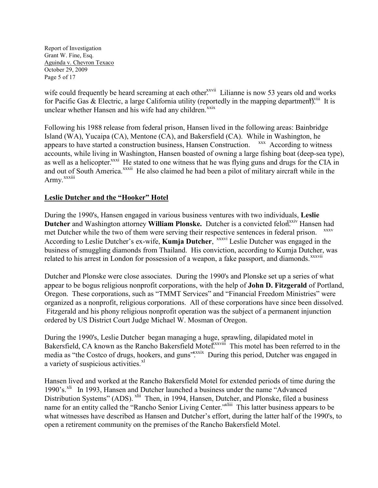Report of Investigation Grant W. Fine, Esq. Aguinda v. Chevron Texaco October 29, 2009 Page 5 of 17

wife could frequently be heard screaming at each other<sup>xxvii</sup> Lilianne is now 53 years old and works for Pacific Gas & Electric, a large California utility (reportedly in the mapping department).<sup>xxviii</sup> It is unclear whether Hansen and his wife had any children. $\frac{x}{x}$ 

Following his 1988 release from federal prison, Hansen lived in the following areas: Bainbridge Island (WA), Yucaipa (CA), Mentone (CA), and Bakersfield (CA). While in Washington, he appears to have started a construction business, Hansen Construction. <sup>xxx</sup> According to witness and out of South America.<sup>xxxii</sup> He also claimed he had been a pilot of military aircraft while in the Army.<sup>xxxiii</sup> accounts, while living in Washington, Hansen boasted of owning a large fishing boat (deep-sea type), as well as a helicopter.<sup>xxxi</sup> He stated to one witness that he was flying guns and drugs for the CIA in

# **Leslie Dutcher and the "Hooker" Hotel**

During the 1990's, Hansen engaged in various business ventures with two individuals, **Leslie**  Dutcher and Washington attorney William Plonske. Dutcher is a convicted felon.<sup>xxiv</sup> Hansen had According to Leslie Dutcher's ex-wife, **Kumja Dutcher**, <sup>xxxvi</sup> Leslie Dutcher was engaged in the related to his arrest in London for possession of a weapon, a fake passport, and diamonds. *xxxvii* met Dutcher while the two of them were serving their respective sentences in federal prison. business of smuggling diamonds from Thailand. His conviction, according to Kumja Dutcher, was

Dutcher and Plonske were close associates. During the 1990's and Plonske set up a series of what appear to be bogus religious nonprofit corporations, with the help of **John D. Fitzgerald** of Portland, Oregon. These corporations, such as "TMMT Services" and "Financial Freedom Ministries" were organized as a nonprofit, religious corporations. All of these corporations have since been dissolved. Fitzgerald and his phony religious nonprofit operation was the subject of a permanent injunction ordered by US District Court Judge Michael W. Mosman of Oregon.

During the 1990's, Leslie Dutcher began managing a huge, sprawling, dilapidated motel in Bakersfield, CA known as the Rancho Bakersfield Motel.<sup>xxxviii</sup> This motel has been referred to in the media as "the Costco of drugs, hookers, and guns".<sup>\*\*\*\*</sup> During this period, Dutcher was engaged in a variety of suspicious activities.<sup>xl</sup>

Hansen lived and worked at the Rancho Bakersfield Motel for extended periods of time during the 1990's.<sup>xli</sup> In 1993, Hansen and Dutcher launched a business under the name "Advanced" name for an entity called the "Rancho Senior Living Center."<sup>xilii</sup> This latter business appears to be Distribution Systems" (ADS). <sup>xlii</sup> Then, in 1994, Hansen, Dutcher, and Plonske, filed a business what witnesses have described as Hansen and Dutcher's effort, during the latter half of the 1990's, to open a retirement community on the premises of the Rancho Bakersfield Motel.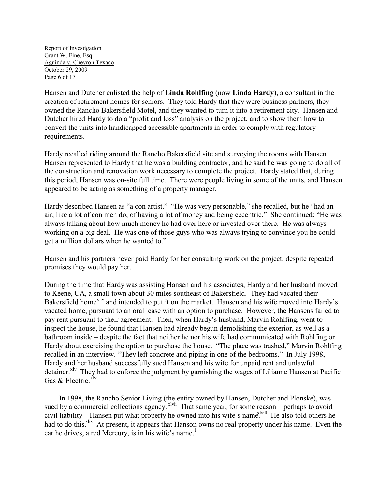Report of Investigation Grant W. Fine, Esq. Aguinda v. Chevron Texaco October 29, 2009 Page 6 of 17

Hansen and Dutcher enlisted the help of **Linda Rohlfing** (now **Linda Hardy**), a consultant in the creation of retirement homes for seniors. They told Hardy that they were business partners, they owned the Rancho Bakersfield Motel, and they wanted to turn it into a retirement city. Hansen and Dutcher hired Hardy to do a "profit and loss" analysis on the project, and to show them how to convert the units into handicapped accessible apartments in order to comply with regulatory requirements.

Hardy recalled riding around the Rancho Bakersfield site and surveying the rooms with Hansen. Hansen represented to Hardy that he was a building contractor, and he said he was going to do all of the construction and renovation work necessary to complete the project. Hardy stated that, during this period, Hansen was on-site full time. There were people living in some of the units, and Hansen appeared to be acting as something of a property manager.

Hardy described Hansen as "a con artist." "He was very personable," she recalled, but he "had an air, like a lot of con men do, of having a lot of money and being eccentric." She continued: "He was always talking about how much money he had over here or invested over there. He was always working on a big deal. He was one of those guys who was always trying to convince you he could get a million dollars when he wanted to."

Hansen and his partners never paid Hardy for her consulting work on the project, despite repeated promises they would pay her.

During the time that Hardy was assisting Hansen and his associates, Hardy and her husband moved to Keene, CA, a small town about 30 miles southeast of Bakersfield. They had vacated their Bakersfield home<sup>xliv</sup> and intended to put it on the market. Hansen and his wife moved into Hardy's vacated home, pursuant to an oral lease with an option to purchase. However, the Hansens failed to pay rent pursuant to their agreement. Then, when Hardy's husband, Marvin Rohlfing, went to inspect the house, he found that Hansen had already begun demolishing the exterior, as well as a bathroom inside – despite the fact that neither he nor his wife had communicated with Rohlfing or Hardy about exercising the option to purchase the house. "The place was trashed," Marvin Rohlfing recalled in an interview. "They left concrete and piping in one of the bedrooms." In July 1998, Hardy and her husband successfully sued Hansen and his wife for unpaid rent and unlawful detainer.<sup>xlv</sup> They had to enforce the judgment by garnishing the wages of Lilianne Hansen at Pacific Gas & Electric.<sup>xlvi</sup>

 In 1998, the Rancho Senior Living (the entity owned by Hansen, Dutcher and Plonske), was sued by a commercial collections agency. <sup>xlvii</sup> That same year, for some reason – perhaps to avoid civil liability – Hansen put what property he owned into his wife's name.<sup>Iviii</sup> He also told others he had to do this.<sup>xlix</sup> At present, it appears that Hanson owns no real property under his name. Even the car he drives, a red Mercury, is in his wife's name.<sup>1</sup>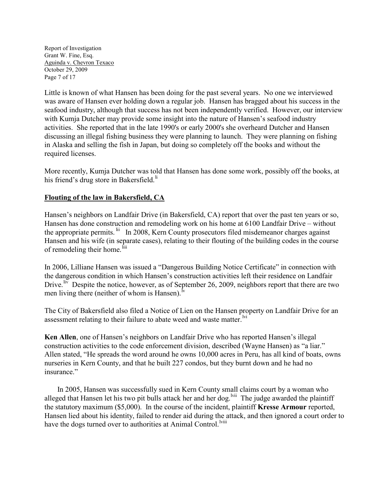Report of Investigation Grant W. Fine, Esq. Aguinda v. Chevron Texaco October 29, 2009 Page 7 of 17

Little is known of what Hansen has been doing for the past several years. No one we interviewed was aware of Hansen ever holding down a regular job. Hansen has bragged about his success in the seafood industry, although that success has not been independently verified. However, our interview with Kumja Dutcher may provide some insight into the nature of Hansen's seafood industry activities. She reported that in the late 1990's or early 2000's she overheard Dutcher and Hansen discussing an illegal fishing business they were planning to launch. They were planning on fishing in Alaska and selling the fish in Japan, but doing so completely off the books and without the required licenses.

More recently, Kumja Dutcher was told that Hansen has done some work, possibly off the books, at his friend's drug store in Bakersfield.<sup>li</sup>

# **Flouting of the law in Bakersfield, CA**

Hansen's neighbors on Landfair Drive (in Bakersfield, CA) report that over the past ten years or so, Hansen has done construction and remodeling work on his home at 6100 Landfair Drive – without the appropriate permits. <sup>lii</sup> In 2008, Kern County prosecutors filed misdemeanor charges against Hansen and his wife (in separate cases), relating to their flouting of the building codes in the course of remodeling their home.

In 2006, Lilliane Hansen was issued a "Dangerous Building Notice Certificate" in connection with the dangerous condition in which Hansen's construction activities left their residence on Landfair Drive.  $\overline{\text{div}}$  Despite the notice, however, as of September 26, 2009, neighbors report that there are two men living there (neither of whom is Hansen).

The City of Bakersfield also filed a Notice of Lien on the Hansen property on Landfair Drive for an assessment relating to their failure to abate weed and waste matter.<sup>Ivi</sup>

**Ken Allen**, one of Hansen's neighbors on Landfair Drive who has reported Hansen's illegal construction activities to the code enforcement division, described (Wayne Hansen) as "a liar." Allen stated, "He spreads the word around he owns 10,000 acres in Peru, has all kind of boats, owns nurseries in Kern County, and that he built 227 condos, but they burnt down and he had no insurance."

 In 2005, Hansen was successfully sued in Kern County small claims court by a woman who alleged that Hansen let his two pit bulls attack her and her dog.<sup>Ivii</sup> The judge awarded the plaintiff have the dogs turned over to authorities at Animal Control.<sup>Iviii</sup> the statutory maximum (\$5,000). In the course of the incident, plaintiff **Kresse Armour** reported, Hansen lied about his identity, failed to render aid during the attack, and then ignored a court order to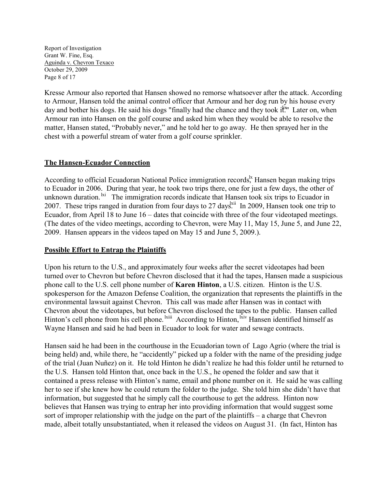Report of Investigation Grant W. Fine, Esq. Aguinda v. Chevron Texaco October 29, 2009 Page 8 of 17

Kresse Armour also reported that Hansen showed no remorse whatsoever after the attack. According to Armour, Hansen told the animal control officer that Armour and her dog run by his house every day and bother his dogs. He said his dogs "finally had the chance and they took it." Later on, when Armour ran into Hansen on the golf course and asked him when they would be able to resolve the matter, Hansen stated, "Probably never," and he told her to go away. He then sprayed her in the chest with a powerful stream of water from a golf course sprinkler.

# **The Hansen-Ecuador Connection**

According to official Ecuadoran National Police immigration records,<sup> $k$ </sup> Hansen began making trips to Ecuador in 2006. During that year, he took two trips there, one for just a few days, the other of unknown duration. <sup>Ixi</sup> The immigration records indicate that Hansen took six trips to Ecuador in 2007. These trips ranged in duration from four days to 27 days.<sup>Ixii</sup> In 2009, Hansen took one trip to Ecuador, from April 18 to June 16 – dates that coincide with three of the four videotaped meetings. (The dates of the video meetings, according to Chevron, were May 11, May 15, June 5, and June 22, 2009. Hansen appears in the videos taped on May 15 and June 5, 2009.).

# **Possible Effort to Entrap the Plaintiffs**

Upon his return to the U.S., and approximately four weeks after the secret videotapes had been turned over to Chevron but before Chevron disclosed that it had the tapes, Hansen made a suspicious phone call to the U.S. cell phone number of **Karen Hinton**, a U.S. citizen. Hinton is the U.S. spokesperson for the Amazon Defense Coalition, the organization that represents the plaintiffs in the environmental lawsuit against Chevron. This call was made after Hansen was in contact with Chevron about the videotapes, but before Chevron disclosed the tapes to the public. Hansen called Hinton's cell phone from his cell phone. <sup>Ixiii</sup> According to Hinton, <sup>Ixiv</sup> Hansen identified himself as Wayne Hansen and said he had been in Ecuador to look for water and sewage contracts.

Hansen said he had been in the courthouse in the Ecuadorian town of Lago Agrio (where the trial is being held) and, while there, he "accidently" picked up a folder with the name of the presiding judge of the trial (Juan Nuñez) on it. He told Hinton he didn't realize he had this folder until he returned to the U.S. Hansen told Hinton that, once back in the U.S., he opened the folder and saw that it contained a press release with Hinton's name, email and phone number on it. He said he was calling her to see if she knew how he could return the folder to the judge. She told him she didn't have that information, but suggested that he simply call the courthouse to get the address. Hinton now believes that Hansen was trying to entrap her into providing information that would suggest some sort of improper relationship with the judge on the part of the plaintiffs – a charge that Chevron made, albeit totally unsubstantiated, when it released the videos on August 31. (In fact, Hinton has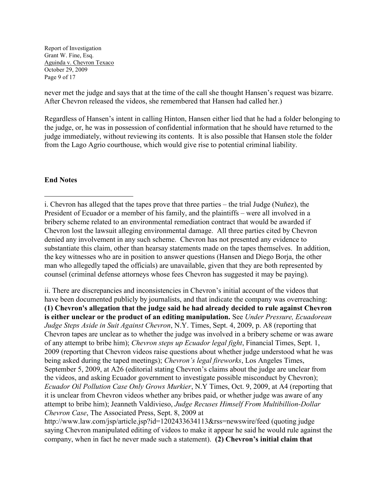Report of Investigation Grant W. Fine, Esq. Aguinda v. Chevron Texaco October 29, 2009 Page 9 of 17

never met the judge and says that at the time of the call she thought Hansen's request was bizarre. After Chevron released the videos, she remembered that Hansen had called her.)

Regardless of Hansen's intent in calling Hinton, Hansen either lied that he had a folder belonging to the judge, or, he was in possession of confidential information that he should have returned to the judge immediately, without reviewing its contents. It is also possible that Hansen stole the folder from the Lago Agrio courthouse, which would give rise to potential criminal liability.

# **End Notes**

 $\overline{a}$ 

ii. There are discrepancies and inconsistencies in Chevron's initial account of the videos that have been documented publicly by journalists, and that indicate the company was overreaching: **(1) Chevron's allegation that the judge said he had already decided to rule against Chevron is either unclear or the product of an editing manipulation.** See *Under Pressure, Ecuadorean Judge Steps Aside in Suit Against Chevron*, N.Y. Times, Sept. 4, 2009, p. A8 (reporting that Chevron tapes are unclear as to whether the judge was involved in a bribery scheme or was aware of any attempt to bribe him); *Chevron steps up Ecuador legal fight*, Financial Times, Sept. 1, 2009 (reporting that Chevron videos raise questions about whether judge understood what he was being asked during the taped meetings); *Chevron's legal fireworks*, Los Angeles Times, September 5, 2009, at A26 (editorial stating Chevron's claims about the judge are unclear from the videos, and asking Ecuador government to investigate possible misconduct by Chevron); *Ecuador Oil Pollution Case Only Grows Murkier*, N.Y Times, Oct. 9, 2009, at A4 (reporting that it is unclear from Chevron videos whether any bribes paid, or whether judge was aware of any attempt to bribe him); Jeanneth Valdivieso, *Judge Recuses Himself From Multibillion-Dollar Chevron Case*, The Associated Press, Sept. 8, 2009 at

http://www.law.com/jsp/article.jsp?id=1202433634113&rss=newswire/feed (quoting judge saying Chevron manipulated editing of videos to make it appear he said he would rule against the company, when in fact he never made such a statement). **(2) Chevron's initial claim that** 

i. Chevron has alleged that the tapes prove that three parties – the trial Judge (Nuñez), the President of Ecuador or a member of his family, and the plaintiffs – were all involved in a bribery scheme related to an environmental remediation contract that would be awarded if Chevron lost the lawsuit alleging environmental damage. All three parties cited by Chevron denied any involvement in any such scheme. Chevron has not presented any evidence to substantiate this claim, other than hearsay statements made on the tapes themselves. In addition, the key witnesses who are in position to answer questions (Hansen and Diego Borja, the other man who allegedly taped the officials) are unavailable, given that they are both represented by counsel (criminal defense attorneys whose fees Chevron has suggested it may be paying).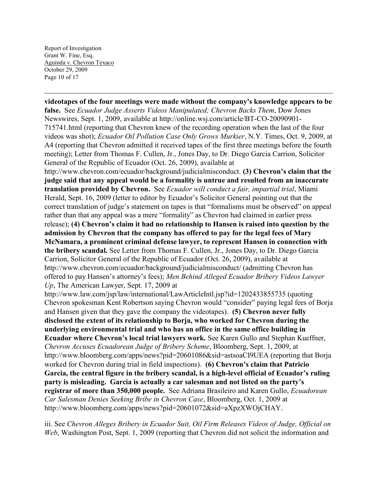**videotapes of the four meetings were made without the company's knowledge appears to be false.** See *Ecuador Judge Asserts Videos Manipulated; Chevron Backs Them*, Dow Jones Newswires, Sept. 1, 2009, available at http://online.wsj.com/article/BT-CO-20090901- 715741.html (reporting that Chevron knew of the recording operation when the last of the four videos was shot); *Ecuador Oil Pollution Case Only Grows Murkier*, N.Y. Times, Oct. 9, 2009, at A4 (reporting that Chevron admitted it received tapes of the first three meetings before the fourth meeting); Letter from Thomas F. Cullen, Jr., Jones Day, to Dr. Diego Garcia Carrion, Solicitor General of the Republic of Ecuador (Oct. 26, 2009), available at http://www.chevron.com/ecuador/background/judicialmisconduct. **(3) Chevron's claim that the judge said that any appeal would be a formality is untrue and resulted from an inaccurate translation provided by Chevron.** See *Ecuador will conduct a fair, impartial trial*, Miami Herald, Sept. 16, 2009 (letter to editor by Ecuador's Solicitor General pointing out that the correct translation of judge's statement on tapes is that "formalisms must be observed" on appeal rather than that any appeal was a mere "formality" as Chevron had claimed in earlier press release); **(4) Chevron's claim it had no relationship to Hansen is raised into question by the admission by Chevron that the company has offered to pay for the legal fees of Mary McNamara, a prominent criminal defense lawyer, to represent Hansen in connection with the bribery scandal.** See Letter from Thomas F. Cullen, Jr., Jones Day, to Dr. Diego Garcia Carrion, Solicitor General of the Republic of Ecuador (Oct. 26, 2009), available at http://www.chevron.com/ecuador/background/judicialmisconduct/ (admitting Chevron has offered to pay Hansen's attorney's fees); *Men Behind Alleged Ecuador Bribery Videos Lawyer Up*, The American Lawyer, Sept. 17, 2009 at http://www.law.com/jsp/law/international/LawArticleIntl.jsp?id=1202433855735 (quoting Chevron spokesman Kent Robertson saying Chevron would "consider" paying legal fees of Borja and Hansen given that they gave the company the videotapes). **(5) Chevron never fully disclosed the extent of its relationship to Borja, who worked for Chevron during the underlying environmental trial and who has an office in the same office building in Ecuador where Chevron's local trial lawyers work.** See Karen Gullo and Stephan Kueffner, *Chevron Accuses Ecuadorean Judge of Bribery Scheme*, Bloomberg, Sept. 1, 2009, at http://www.bloomberg.com/apps/news?pid=20601086&sid=astsoaCI9UEA (reporting that Borja worked for Chevron during trial in field inspections). **(6) Chevron's claim that Patricio Garcia, the central figure in the bribery scandal, is a high-level official of Ecuador's ruling party is misleading. Garcia is actually a car salesman and not listed on the party's registrar of more than 350,000 people.** See Adriana Brasileiro and Karen Gullo, *Ecuadorean Car Salesman Denies Seeking Bribe in Chevron Case*, Bloomberg, Oct. 1, 2009 at http://www.bloomberg.com/apps/news?pid=20601072&sid=aXpzXWOjCHAY.

iii. See *Chevron Alleges Bribery in Ecuador Suit, Oil Firm Releases Videos of Judge, Official on Web*, Washington Post, Sept. 1, 2009 (reporting that Chevron did not solicit the information and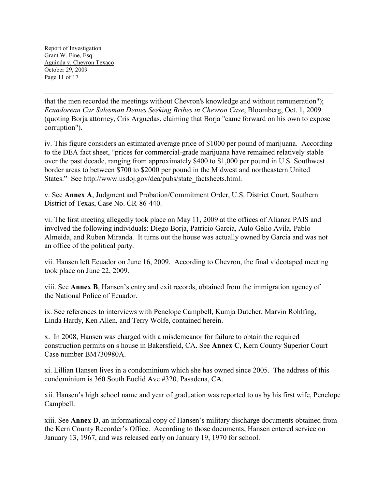that the men recorded the meetings without Chevron's knowledge and without remuneration"); *Ecuadorean Car Salesman Denies Seeking Bribes in Chevron Case*, Bloomberg, Oct. 1, 2009 (quoting Borja attorney, Cris Arguedas, claiming that Borja "came forward on his own to expose corruption").

iv. This figure considers an estimated average price of \$1000 per pound of marijuana. According to the DEA fact sheet, "prices for commercial-grade marijuana have remained relatively stable over the past decade, ranging from approximately \$400 to \$1,000 per pound in U.S. Southwest border areas to between \$700 to \$2000 per pound in the Midwest and northeastern United States." See http://www.usdoj.gov/dea/pubs/state\_factsheets.html.

v. See **Annex A**, Judgment and Probation/Commitment Order, U.S. District Court, Southern District of Texas, Case No. CR-86-440.

vi. The first meeting allegedly took place on May 11, 2009 at the offices of Alianza PAIS and involved the following individuals: Diego Borja, Patricio Garcia, Aulo Gelio Avila, Pablo Almeida, and Ruben Miranda. It turns out the house was actually owned by Garcia and was not an office of the political party.

vii. Hansen left Ecuador on June 16, 2009. According to Chevron, the final videotaped meeting took place on June 22, 2009.

viii. See **Annex B**, Hansen's entry and exit records, obtained from the immigration agency of the National Police of Ecuador.

ix. See references to interviews with Penelope Campbell, Kumja Dutcher, Marvin Rohlfing, Linda Hardy, Ken Allen, and Terry Wolfe, contained herein.

x. In 2008, Hansen was charged with a misdemeanor for failure to obtain the required construction permits on s house in Bakersfield, CA. See **Annex C**, Kern County Superior Court Case number BM730980A.

xi. Lillian Hansen lives in a condominium which she has owned since 2005. The address of this condominium is 360 South Euclid Ave #320, Pasadena, CA.

xii. Hansen's high school name and year of graduation was reported to us by his first wife, Penelope Campbell.

xiii. See **Annex D**, an informational copy of Hansen's military discharge documents obtained from the Kern County Recorder's Office. According to those documents, Hansen entered service on January 13, 1967, and was released early on January 19, 1970 for school.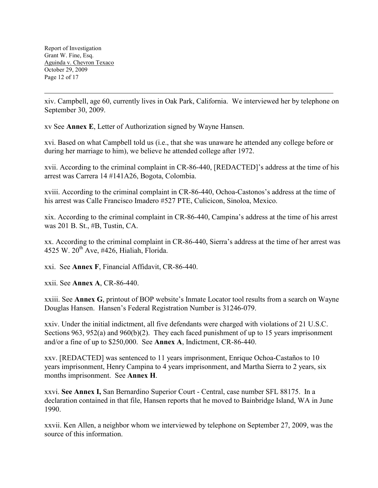xiv. Campbell, age 60, currently lives in Oak Park, California. We interviewed her by telephone on September 30, 2009.

xv See **Annex E**, Letter of Authorization signed by Wayne Hansen.

xvi. Based on what Campbell told us (i.e., that she was unaware he attended any college before or during her marriage to him), we believe he attended college after 1972.

xvii. According to the criminal complaint in CR-86-440, [REDACTED]'s address at the time of his arrest was Carrera 14 #141A26, Bogota, Colombia.

xviii. According to the criminal complaint in CR-86-440, Ochoa-Castonos's address at the time of his arrest was Calle Francisco Imadero #527 PTE, Culicicon, Sinoloa, Mexico.

xix. According to the criminal complaint in CR-86-440, Campina's address at the time of his arrest was 201 B. St., #B, Tustin, CA.

xx. According to the criminal complaint in CR-86-440, Sierra's address at the time of her arrest was 4525 W.  $20^{th}$  Ave, #426, Hialiah, Florida.

xxi. See **Annex F**, Financial Affidavit, CR-86-440.

xxii. See **Annex A**, CR-86-440.

xxiii. See **Annex G**, printout of BOP website's Inmate Locator tool results from a search on Wayne Douglas Hansen. Hansen's Federal Registration Number is 31246-079.

xxiv. Under the initial indictment, all five defendants were charged with violations of 21 U.S.C. Sections 963, 952(a) and 960(b)(2). They each faced punishment of up to 15 years imprisonment and/or a fine of up to \$250,000. See **Annex A**, Indictment, CR-86-440.

xxv. [REDACTED] was sentenced to 11 years imprisonment, Enrique Ochoa-Castaños to 10 years imprisonment, Henry Campina to 4 years imprisonment, and Martha Sierra to 2 years, six months imprisonment. See **Annex H**.

xxvi. **See Annex I,** San Bernardino Superior Court - Central, case number SFL 88175. In a declaration contained in that file, Hansen reports that he moved to Bainbridge Island, WA in June 1990.

xxvii. Ken Allen, a neighbor whom we interviewed by telephone on September 27, 2009, was the source of this information.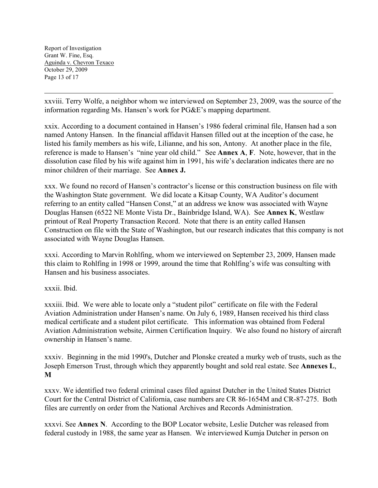xxviii. Terry Wolfe, a neighbor whom we interviewed on September 23, 2009, was the source of the information regarding Ms. Hansen's work for PG&E's mapping department.

xxix. According to a document contained in Hansen's 1986 federal criminal file, Hansen had a son named Antony Hansen. In the financial affidavit Hansen filled out at the inception of the case, he listed his family members as his wife, Lilianne, and his son, Antony. At another place in the file, reference is made to Hansen's "nine year old child." See **Annex A**, **F**. Note, however, that in the dissolution case filed by his wife against him in 1991, his wife's declaration indicates there are no minor children of their marriage. See **Annex J.** 

xxx. We found no record of Hansen's contractor's license or this construction business on file with the Washington State government. We did locate a Kitsap County, WA Auditor's document referring to an entity called "Hansen Const," at an address we know was associated with Wayne Douglas Hansen (6522 NE Monte Vista Dr., Bainbridge Island, WA). See **Annex K**, Westlaw printout of Real Property Transaction Record. Note that there is an entity called Hansen Construction on file with the State of Washington, but our research indicates that this company is not associated with Wayne Douglas Hansen.

xxxi. According to Marvin Rohlfing, whom we interviewed on September 23, 2009, Hansen made this claim to Rohlfing in 1998 or 1999, around the time that Rohlfing's wife was consulting with Hansen and his business associates.

xxxii. Ibid.

xxxiii. Ibid. We were able to locate only a "student pilot" certificate on file with the Federal Aviation Administration under Hansen's name. On July 6, 1989, Hansen received his third class medical certificate and a student pilot certificate. This information was obtained from Federal Aviation Administration website, Airmen Certification Inquiry. We also found no history of aircraft ownership in Hansen's name.

xxxiv. Beginning in the mid 1990's, Dutcher and Plonske created a murky web of trusts, such as the Joseph Emerson Trust, through which they apparently bought and sold real estate. See **Annexes L**, **M**

xxxv. We identified two federal criminal cases filed against Dutcher in the United States District Court for the Central District of California, case numbers are CR 86-1654M and CR-87-275. Both files are currently on order from the National Archives and Records Administration.

xxxvi. See **Annex N**. According to the BOP Locator website, Leslie Dutcher was released from federal custody in 1988, the same year as Hansen. We interviewed Kumja Dutcher in person on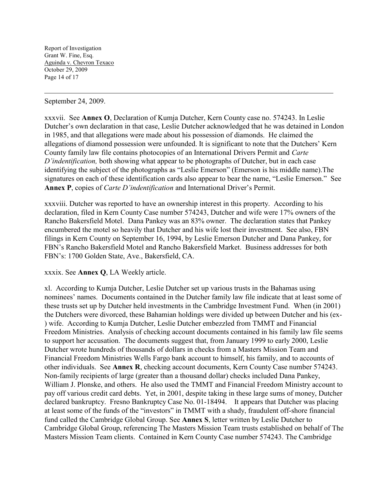September 24, 2009.

 $\overline{a}$ 

xxxvii. See **Annex O**, Declaration of Kumja Dutcher, Kern County case no. 574243. In Leslie Dutcher's own declaration in that case, Leslie Dutcher acknowledged that he was detained in London in 1985, and that allegations were made about his possession of diamonds. He claimed the allegations of diamond possession were unfounded. It is significant to note that the Dutchers' Kern County family law file contains photocopies of an International Drivers Permit and *Carte D'indentification,* both showing what appear to be photographs of Dutcher, but in each case identifying the subject of the photographs as "Leslie Emerson" (Emerson is his middle name).The signatures on each of these identification cards also appear to bear the name, "Leslie Emerson." See **Annex P**, copies of *Carte D'indentification* and International Driver's Permit.

xxxviii. Dutcher was reported to have an ownership interest in this property. According to his declaration, filed in Kern County Case number 574243, Dutcher and wife were 17% owners of the Rancho Bakersfield Motel. Dana Pankey was an 83% owner. The declaration states that Pankey encumbered the motel so heavily that Dutcher and his wife lost their investment. See also, FBN filings in Kern County on September 16, 1994, by Leslie Emerson Dutcher and Dana Pankey, for FBN's Rancho Bakersfield Motel and Rancho Bakersfield Market. Business addresses for both FBN's: 1700 Golden State, Ave., Bakersfield, CA.

### xxxix. See **Annex Q**, LA Weekly article.

xl. According to Kumja Dutcher, Leslie Dutcher set up various trusts in the Bahamas using nominees' names. Documents contained in the Dutcher family law file indicate that at least some of these trusts set up by Dutcher held investments in the Cambridge Investment Fund. When (in 2001) the Dutchers were divorced, these Bahamian holdings were divided up between Dutcher and his (ex- ) wife. According to Kumja Dutcher, Leslie Dutcher embezzled from TMMT and Financial Freedom Ministries. Analysis of checking account documents contained in his family law file seems to support her accusation. The documents suggest that, from January 1999 to early 2000, Leslie Dutcher wrote hundreds of thousands of dollars in checks from a Masters Mission Team and Financial Freedom Ministries Wells Fargo bank account to himself, his family, and to accounts of other individuals. See **Annex R**, checking account documents, Kern County Case number 574243. Non-family recipients of large (greater than a thousand dollar) checks included Dana Pankey, William J. Plonske, and others. He also used the TMMT and Financial Freedom Ministry account to pay off various credit card debts. Yet, in 2001, despite taking in these large sums of money, Dutcher declared bankruptcy. Fresno Bankruptcy Case No. 01-18494. It appears that Dutcher was placing at least some of the funds of the "investors" in TMMT with a shady, fraudulent off-shore financial fund called the Cambridge Global Group. See **Annex S**, letter written by Leslie Dutcher to Cambridge Global Group, referencing The Masters Mission Team trusts established on behalf of The Masters Mission Team clients. Contained in Kern County Case number 574243. The Cambridge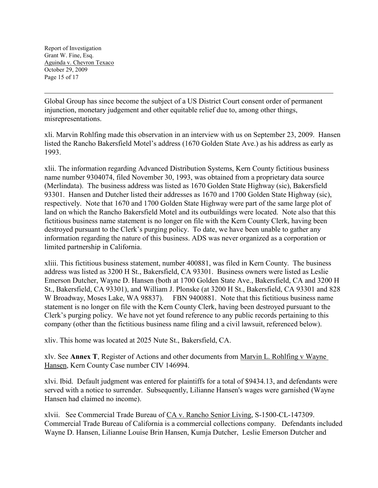Report of Investigation Grant W. Fine, Esq. Aguinda v. Chevron Texaco October 29, 2009 Page 15 of 17

 $\overline{a}$ 

Global Group has since become the subject of a US District Court consent order of permanent injunction, monetary judgement and other equitable relief due to, among other things, misrepresentations.

xli. Marvin Rohlfing made this observation in an interview with us on September 23, 2009. Hansen listed the Rancho Bakersfield Motel's address (1670 Golden State Ave.) as his address as early as 1993.

xlii. The information regarding Advanced Distribution Systems, Kern County fictitious business name number 9304074, filed November 30, 1993, was obtained from a proprietary data source (Merlindata). The business address was listed as 1670 Golden State Highway (sic), Bakersfield 93301. Hansen and Dutcher listed their addresses as 1670 and 1700 Golden State Highway (sic), respectively. Note that 1670 and 1700 Golden State Highway were part of the same large plot of land on which the Rancho Bakersfield Motel and its outbuildings were located. Note also that this fictitious business name statement is no longer on file with the Kern County Clerk, having been destroyed pursuant to the Clerk's purging policy. To date, we have been unable to gather any information regarding the nature of this business. ADS was never organized as a corporation or limited partnership in California.

xliii. This fictitious business statement, number 400881, was filed in Kern County. The business address was listed as 3200 H St., Bakersfield, CA 93301. Business owners were listed as Leslie Emerson Dutcher, Wayne D. Hansen (both at 1700 Golden State Ave., Bakersfield, CA and 3200 H St., Bakersfield, CA 93301), and William J. Plonske (at 3200 H St., Bakersfield, CA 93301 and 828 W Broadway, Moses Lake, WA 98837). FBN 9400881. Note that this fictitious business name statement is no longer on file with the Kern County Clerk, having been destroyed pursuant to the Clerk's purging policy. We have not yet found reference to any public records pertaining to this company (other than the fictitious business name filing and a civil lawsuit, referenced below).

xliv. This home was located at 2025 Nute St., Bakersfield, CA.

xlv. See **Annex T**, Register of Actions and other documents from Marvin L. Rohlfing v Wayne Hansen, Kern County Case number CIV 146994.

xlvi. Ibid. Default judgment was entered for plaintiffs for a total of \$9434.13, and defendants were served with a notice to surrender. Subsequently, Lilianne Hansen's wages were garnished (Wayne Hansen had claimed no income).

xlvii. See Commercial Trade Bureau of CA v. Rancho Senior Living, S-1500-CL-147309. Commercial Trade Bureau of California is a commercial collections company. Defendants included Wayne D. Hansen, Lilianne Louise Brin Hansen, Kumja Dutcher, Leslie Emerson Dutcher and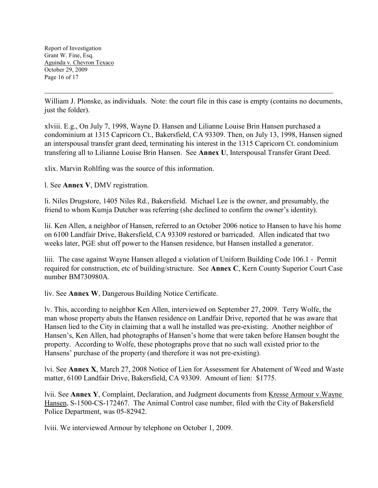Report of Investigation Grant W. Fine, Esq. Aguinda v. Chevron Texaco October 29, 2009 Page 16 of 17

 $\overline{a}$ 

William J. Plonske, as individuals. Note: the court file in this case is empty (contains no documents, just the folder).

xlviii. E.g., On July 7, 1998, Wayne D. Hansen and Lilianne Louise Brin Hansen purchased a condominium at 1315 Capricorn Ct., Bakersfield, CA 93309. Then, on July 13, 1998, Hansen signed an interspousal transfer grant deed, terminating his interest in the 1315 Capricorn Ct. condominium transfering all to Lilianne Louise Brin Hansen. See **Annex U**, Interspousal Transfer Grant Deed.

xlix. Marvin Rohlfing was the source of this information.

l. See **Annex V**, DMV registration.

li. Niles Drugstore, 1405 Niles Rd., Bakersfield. Michael Lee is the owner, and presumably, the friend to whom Kumja Dutcher was referring (she declined to confirm the owner's identity).

lii. Ken Allen, a neighbor of Hansen, referred to an October 2006 notice to Hansen to have his home on 6100 Landfair Drive, Bakersfield, CA 93309 restored or barricaded. Allen indicated that two weeks later, PGE shut off power to the Hansen residence, but Hansen installed a generator.

liii. The case against Wayne Hansen alleged a violation of Uniform Building Code 106.1 - Permit required for construction, etc of building/structure. See **Annex C**, Kern County Superior Court Case number BM730980A.

liv. See **Annex W**, Dangerous Building Notice Certificate.

lv. This, according to neighbor Ken Allen, interviewed on September 27, 2009. Terry Wolfe, the man whose property abuts the Hansen residence on Landfair Drive, reported that he was aware that Hansen lied to the City in claiming that a wall he installed was pre-existing. Another neighbor of Hansen's, Ken Allen, had photographs of Hansen's home that were taken before Hansen bought the property. According to Wolfe, these photographs prove that no such wall existed prior to the Hansens' purchase of the property (and therefore it was not pre-existing).

lvi. See **Annex X**, March 27, 2008 Notice of Lien for Assessment for Abatement of Weed and Waste matter, 6100 Landfair Drive, Bakersfield, CA 93309. Amount of lien: \$1775.

lvii. See **Annex Y**, Complaint, Declaration, and Judgment documents from Kresse Armour v.Wayne Hansen, S-1500-CS-172467. The Animal Control case number, filed with the City of Bakersfield Police Department, was 05-82942.

lviii. We interviewed Armour by telephone on October 1, 2009.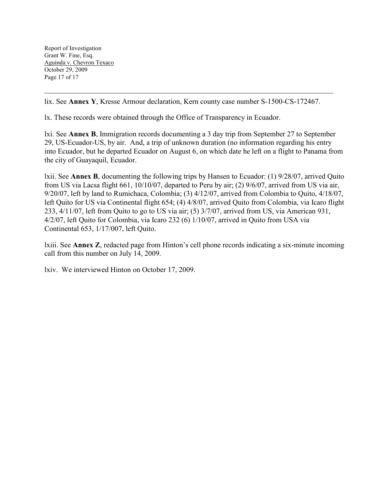lix. See **Annex Y**, Kresse Armour declaration, Kern county case number S-1500-CS-172467.

lx. These records were obtained through the Office of Transparency in Ecuador.

lxi. See **Annex B**, Immigration records documenting a 3 day trip from September 27 to September 29, US-Ecuador-US, by air. And, a trip of unknown duration (no information regarding his entry into Ecuador, but he departed Ecuador on August 6, on which date he left on a flight to Panama from the city of Guayaquil, Ecuador.

lxii. See **Annex B**, documenting the following trips by Hansen to Ecuador: (1) 9/28/07, arrived Quito from US via Lacsa flight 661, 10/10/07, departed to Peru by air; (2) 9/6/07, arrived from US via air, 9/20/07, left by land to Rumichaca, Colombia; (3) 4/12/07, arrived from Colombia to Quito, 4/18/07, left Quito for US via Continental flight 654; (4) 4/8/07, arrived Quito from Colombia, via Icaro flight 233, 4/11/07, left from Quito to go to US via air; (5) 3/7/07, arrived from US, via American 931, 4/2/07, left Quito for Colombia, via Icaro 232 (6) 1/10/07, arrived in Quito from USA via Continental 653, 1/17/007, left Quito.

lxiii. See **Annex Z**, redacted page from Hinton's cell phone records indicating a six-minute incoming call from this number on July 14, 2009.

lxiv. We interviewed Hinton on October 17, 2009.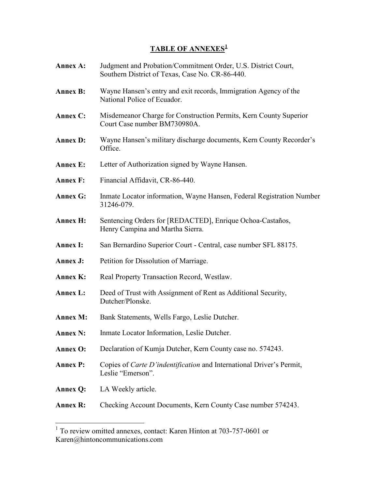# **TABLE OF ANNEXES<sup>1</sup>**

| <b>Annex A:</b> | Judgment and Probation/Commitment Order, U.S. District Court,<br>Southern District of Texas, Case No. CR-86-440. |
|-----------------|------------------------------------------------------------------------------------------------------------------|
| <b>Annex B:</b> | Wayne Hansen's entry and exit records, Immigration Agency of the<br>National Police of Ecuador.                  |
| <b>Annex C:</b> | Misdemeanor Charge for Construction Permits, Kern County Superior<br>Court Case number BM730980A.                |
| <b>Annex D:</b> | Wayne Hansen's military discharge documents, Kern County Recorder's<br>Office.                                   |
| <b>Annex E:</b> | Letter of Authorization signed by Wayne Hansen.                                                                  |
| <b>Annex F:</b> | Financial Affidavit, CR-86-440.                                                                                  |
| <b>Annex G:</b> | Inmate Locator information, Wayne Hansen, Federal Registration Number<br>31246-079.                              |
| <b>Annex H:</b> | Sentencing Orders for [REDACTED], Enrique Ochoa-Castaños,<br>Henry Campina and Martha Sierra.                    |
| <b>Annex I:</b> | San Bernardino Superior Court - Central, case number SFL 88175.                                                  |
| Annex J:        | Petition for Dissolution of Marriage.                                                                            |
| <b>Annex K:</b> | Real Property Transaction Record, Westlaw.                                                                       |
| <b>Annex L:</b> | Deed of Trust with Assignment of Rent as Additional Security,<br>Dutcher/Plonske.                                |
| <b>Annex M:</b> | Bank Statements, Wells Fargo, Leslie Dutcher.                                                                    |
| <b>Annex N:</b> | Inmate Locator Information, Leslie Dutcher.                                                                      |
| <b>Annex O:</b> | Declaration of Kumja Dutcher, Kern County case no. 574243.                                                       |
| <b>Annex P:</b> | Copies of <i>Carte D'indentification</i> and International Driver's Permit,<br>Leslie "Emerson".                 |
| <b>Annex Q:</b> | LA Weekly article.                                                                                               |
| <b>Annex R:</b> | Checking Account Documents, Kern County Case number 574243.                                                      |

 $\overline{\phantom{a}}$ 

 1 To review omitted annexes, contact: Karen Hinton at 703-757-0601 or Karen@hintoncommunications.com